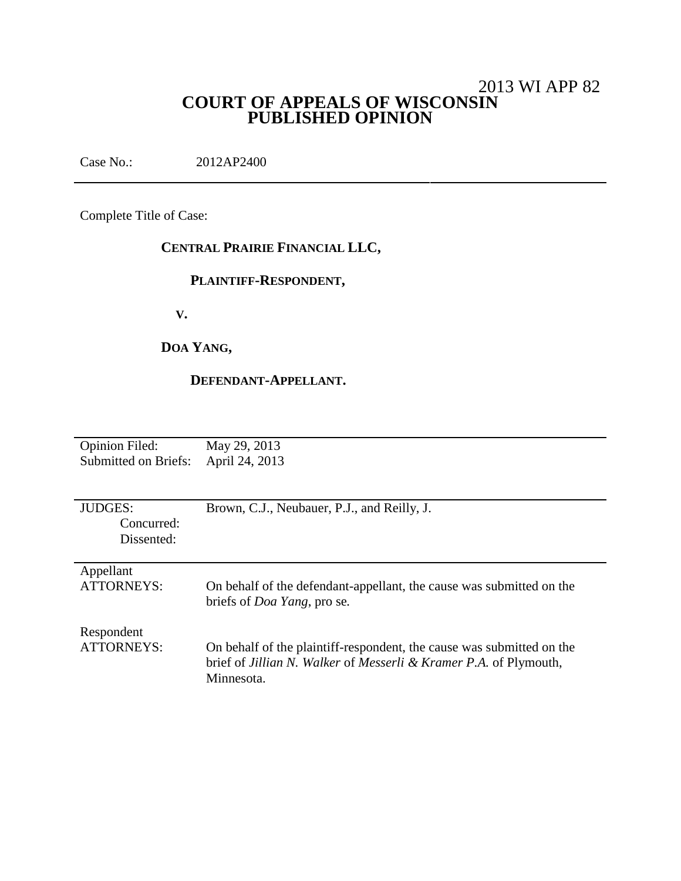# 2013 WI APP 82 **COURT OF APPEALS OF WISCONSIN PUBLISHED OPINION**

Case No.: 2012AP2400

Complete Title of Case:

# **CENTRAL PRAIRIE FINANCIAL LLC,**

## **PLAINTIFF-RESPONDENT,**

**V.**

# **DOA YANG,**

### **DEFENDANT-APPELLANT.**

| <b>Opinion Filed:</b>       | May 29, 2013                                                          |
|-----------------------------|-----------------------------------------------------------------------|
| <b>Submitted on Briefs:</b> | April 24, 2013                                                        |
|                             |                                                                       |
|                             |                                                                       |
|                             |                                                                       |
| <b>JUDGES:</b>              | Brown, C.J., Neubauer, P.J., and Reilly, J.                           |
| Concurred:                  |                                                                       |
| Dissented:                  |                                                                       |
|                             |                                                                       |
|                             |                                                                       |
| Appellant                   |                                                                       |
| <b>ATTORNEYS:</b>           | On behalf of the defendant-appellant, the cause was submitted on the  |
|                             | briefs of <i>Doa Yang</i> , pro se.                                   |
|                             |                                                                       |
|                             |                                                                       |
| Respondent                  |                                                                       |
| ATTORNEYS:                  | On behalf of the plaintiff-respondent, the cause was submitted on the |
|                             | brief of Jillian N. Walker of Messerli & Kramer P.A. of Plymouth,     |
|                             | Minnesota.                                                            |
|                             |                                                                       |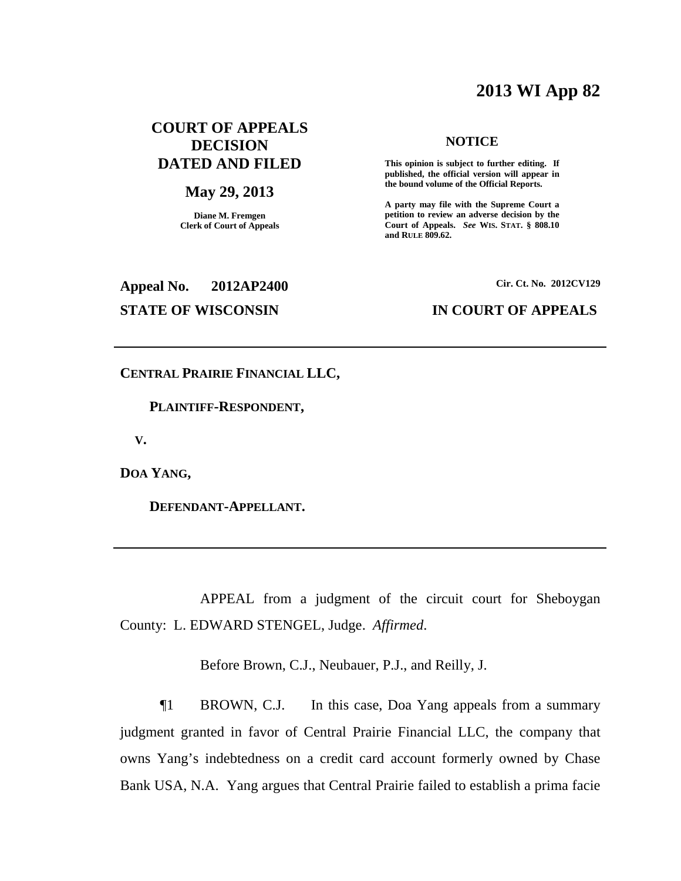# **2013 WI App 82**

## **COURT OF APPEALS DECISION DATED AND FILED**

#### **May 29, 2013**

**Diane M. Fremgen Clerk of Court of Appeals**

#### **NOTICE**

**This opinion is subject to further editing. If published, the official version will appear in the bound volume of the Official Reports.**

**A party may file with the Supreme Court a petition to review an adverse decision by the Court of Appeals.** *See* **WIS. STAT. § 808.10 and RULE 809.62.**

# **Appeal No. 2012AP2400**

#### **Cir. Ct. No. 2012CV129**

#### **STATE OF WISCONSIN IN COURT OF APPEALS**

**CENTRAL PRAIRIE FINANCIAL LLC,**

**PLAINTIFF-RESPONDENT,**

**V.**

**DOA YANG,**

**DEFENDANT-APPELLANT.**

APPEAL from a judgment of the circuit court for Sheboygan County: L. EDWARD STENGEL, Judge. *Affirmed*.

Before Brown, C.J., Neubauer, P.J., and Reilly, J.

¶1 BROWN, C.J. In this case, Doa Yang appeals from a summary judgment granted in favor of Central Prairie Financial LLC, the company that owns Yang's indebtedness on a credit card account formerly owned by Chase Bank USA, N.A. Yang argues that Central Prairie failed to establish a prima facie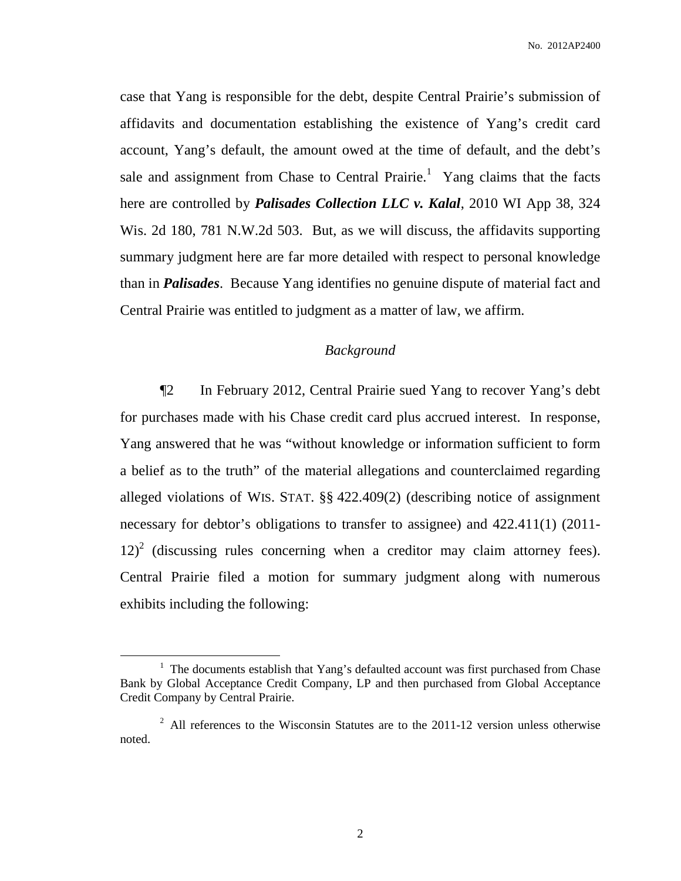case that Yang is responsible for the debt, despite Central Prairie's submission of affidavits and documentation establishing the existence of Yang's credit card account, Yang's default, the amount owed at the time of default, and the debt's sale and assignment from Chase to Central Prairie.<sup>1</sup> Yang claims that the facts here are controlled by *Palisades Collection LLC v. Kalal*, 2010 WI App 38, 324 Wis. 2d 180, 781 N.W.2d 503. But, as we will discuss, the affidavits supporting summary judgment here are far more detailed with respect to personal knowledge than in *Palisades*. Because Yang identifies no genuine dispute of material fact and Central Prairie was entitled to judgment as a matter of law, we affirm.

## *Background*

¶2 In February 2012, Central Prairie sued Yang to recover Yang's debt for purchases made with his Chase credit card plus accrued interest. In response, Yang answered that he was "without knowledge or information sufficient to form a belief as to the truth" of the material allegations and counterclaimed regarding alleged violations of WIS. STAT. §§ 422.409(2) (describing notice of assignment necessary for debtor's obligations to transfer to assignee) and 422.411(1) (2011-  $12)^{2}$  (discussing rules concerning when a creditor may claim attorney fees). Central Prairie filed a motion for summary judgment along with numerous exhibits including the following:

<sup>&</sup>lt;sup>1</sup> The documents establish that Yang's defaulted account was first purchased from Chase Bank by Global Acceptance Credit Company, LP and then purchased from Global Acceptance Credit Company by Central Prairie.

<sup>&</sup>lt;sup>2</sup> All references to the Wisconsin Statutes are to the 2011-12 version unless otherwise noted.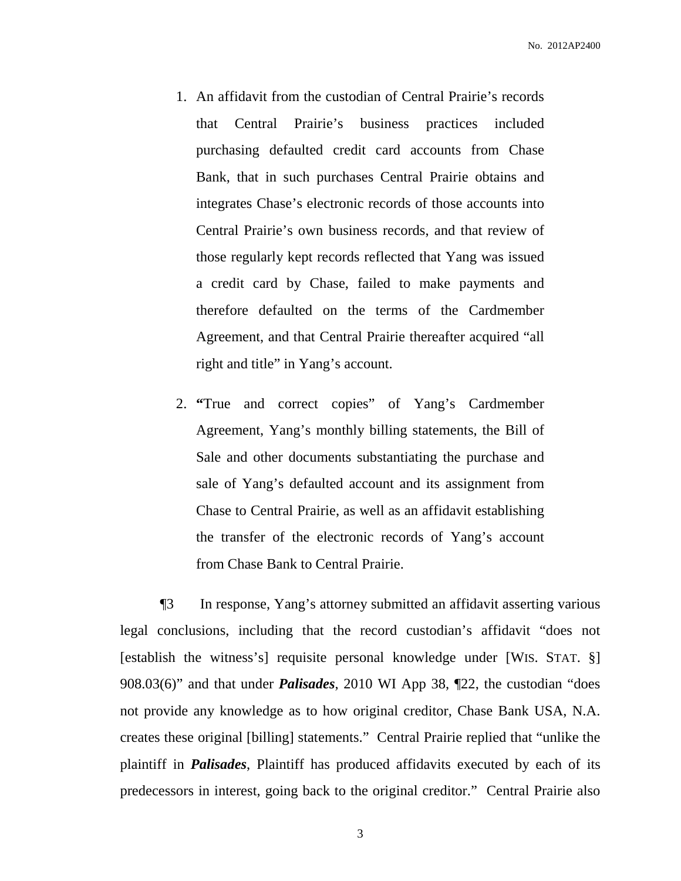- 1. An affidavit from the custodian of Central Prairie's records that Central Prairie's business practices included purchasing defaulted credit card accounts from Chase Bank, that in such purchases Central Prairie obtains and integrates Chase's electronic records of those accounts into Central Prairie's own business records, and that review of those regularly kept records reflected that Yang was issued a credit card by Chase, failed to make payments and therefore defaulted on the terms of the Cardmember Agreement, and that Central Prairie thereafter acquired "all right and title" in Yang's account.
- 2. **"**True and correct copies" of Yang's Cardmember Agreement, Yang's monthly billing statements, the Bill of Sale and other documents substantiating the purchase and sale of Yang's defaulted account and its assignment from Chase to Central Prairie, as well as an affidavit establishing the transfer of the electronic records of Yang's account from Chase Bank to Central Prairie.

¶3 In response, Yang's attorney submitted an affidavit asserting various legal conclusions, including that the record custodian's affidavit "does not [establish the witness's] requisite personal knowledge under [WIS. STAT. §] 908.03(6)" and that under *Palisades*, 2010 WI App 38, ¶22, the custodian "does not provide any knowledge as to how original creditor, Chase Bank USA, N.A. creates these original [billing] statements." Central Prairie replied that "unlike the plaintiff in *Palisades*, Plaintiff has produced affidavits executed by each of its predecessors in interest, going back to the original creditor." Central Prairie also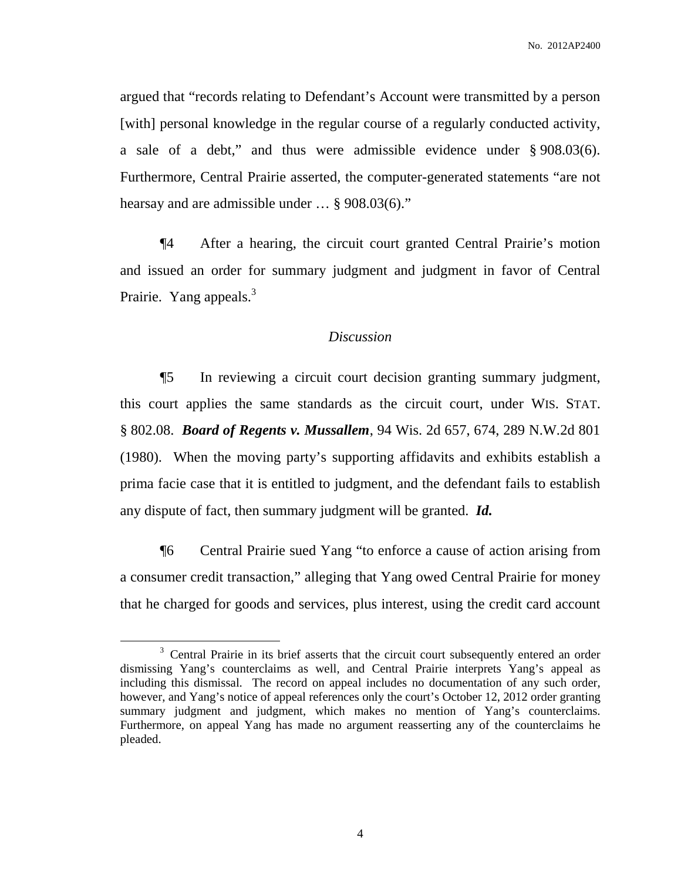argued that "records relating to Defendant's Account were transmitted by a person [with] personal knowledge in the regular course of a regularly conducted activity, a sale of a debt," and thus were admissible evidence under § 908.03(6). Furthermore, Central Prairie asserted, the computer-generated statements "are not hearsay and are admissible under … § 908.03(6)."

¶4 After a hearing, the circuit court granted Central Prairie's motion and issued an order for summary judgment and judgment in favor of Central Prairie. Yang appeals.<sup>3</sup>

#### *Discussion*

¶5 In reviewing a circuit court decision granting summary judgment, this court applies the same standards as the circuit court, under WIS. STAT. § 802.08. *Board of Regents v. Mussallem*, 94 Wis. 2d 657, 674, 289 N.W.2d 801 (1980). When the moving party's supporting affidavits and exhibits establish a prima facie case that it is entitled to judgment, and the defendant fails to establish any dispute of fact, then summary judgment will be granted. *Id.*

¶6 Central Prairie sued Yang "to enforce a cause of action arising from a consumer credit transaction," alleging that Yang owed Central Prairie for money that he charged for goods and services, plus interest, using the credit card account

<sup>&</sup>lt;sup>3</sup> Central Prairie in its brief asserts that the circuit court subsequently entered an order dismissing Yang's counterclaims as well, and Central Prairie interprets Yang's appeal as including this dismissal. The record on appeal includes no documentation of any such order, however, and Yang's notice of appeal references only the court's October 12, 2012 order granting summary judgment and judgment, which makes no mention of Yang's counterclaims. Furthermore, on appeal Yang has made no argument reasserting any of the counterclaims he pleaded.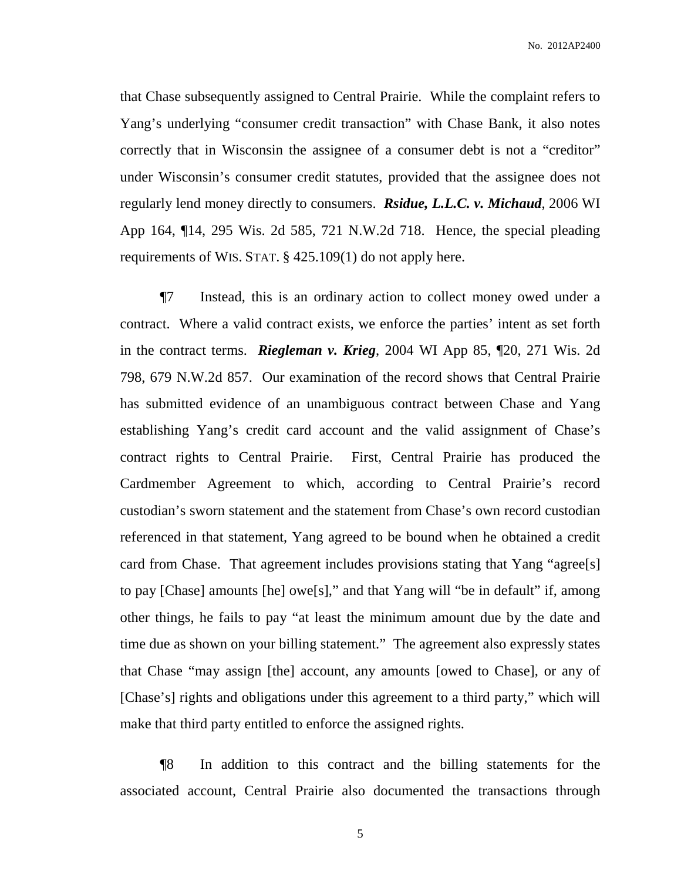No. 2012AP2400

that Chase subsequently assigned to Central Prairie. While the complaint refers to Yang's underlying "consumer credit transaction" with Chase Bank, it also notes correctly that in Wisconsin the assignee of a consumer debt is not a "creditor" under Wisconsin's consumer credit statutes, provided that the assignee does not regularly lend money directly to consumers. *Rsidue, L.L.C. v. Michaud*, 2006 WI App 164, ¶14, 295 Wis. 2d 585, 721 N.W.2d 718. Hence, the special pleading requirements of WIS. STAT. § 425.109(1) do not apply here.

¶7 Instead, this is an ordinary action to collect money owed under a contract. Where a valid contract exists, we enforce the parties' intent as set forth in the contract terms. *Riegleman v. Krieg*, 2004 WI App 85, ¶20, 271 Wis. 2d 798, 679 N.W.2d 857. Our examination of the record shows that Central Prairie has submitted evidence of an unambiguous contract between Chase and Yang establishing Yang's credit card account and the valid assignment of Chase's contract rights to Central Prairie. First, Central Prairie has produced the Cardmember Agreement to which, according to Central Prairie's record custodian's sworn statement and the statement from Chase's own record custodian referenced in that statement, Yang agreed to be bound when he obtained a credit card from Chase. That agreement includes provisions stating that Yang "agree[s] to pay [Chase] amounts [he] owe[s]," and that Yang will "be in default" if, among other things, he fails to pay "at least the minimum amount due by the date and time due as shown on your billing statement." The agreement also expressly states that Chase "may assign [the] account, any amounts [owed to Chase], or any of [Chase's] rights and obligations under this agreement to a third party," which will make that third party entitled to enforce the assigned rights.

¶8 In addition to this contract and the billing statements for the associated account, Central Prairie also documented the transactions through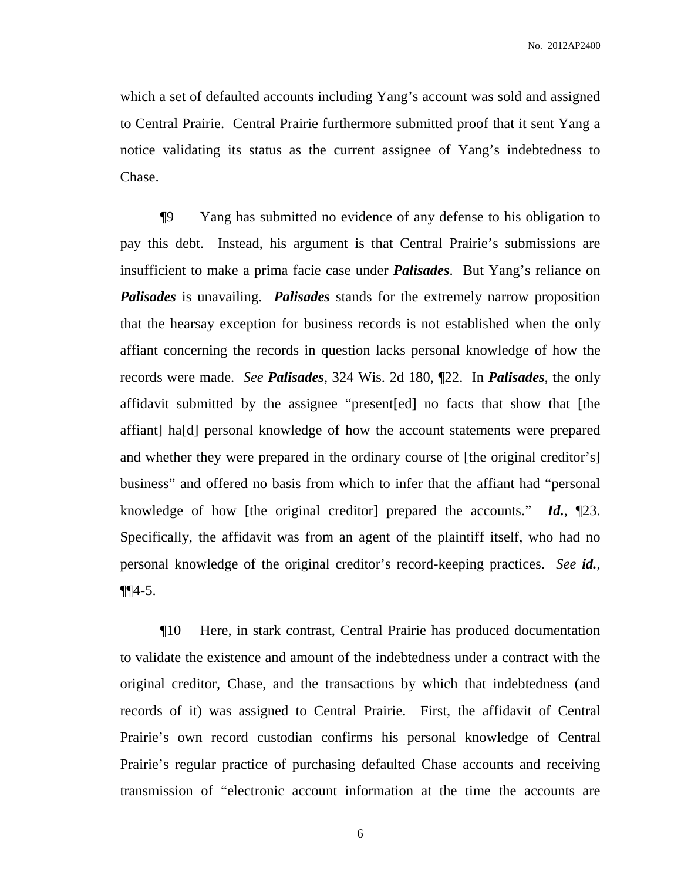which a set of defaulted accounts including Yang's account was sold and assigned to Central Prairie. Central Prairie furthermore submitted proof that it sent Yang a notice validating its status as the current assignee of Yang's indebtedness to Chase.

¶9 Yang has submitted no evidence of any defense to his obligation to pay this debt. Instead, his argument is that Central Prairie's submissions are insufficient to make a prima facie case under *Palisades*. But Yang's reliance on *Palisades* is unavailing. *Palisades* stands for the extremely narrow proposition that the hearsay exception for business records is not established when the only affiant concerning the records in question lacks personal knowledge of how the records were made. *See Palisades*, 324 Wis. 2d 180, ¶22. In *Palisades*, the only affidavit submitted by the assignee "present[ed] no facts that show that [the affiant] ha[d] personal knowledge of how the account statements were prepared and whether they were prepared in the ordinary course of [the original creditor's] business" and offered no basis from which to infer that the affiant had "personal knowledge of how [the original creditor] prepared the accounts." *Id.*, ¶23. Specifically, the affidavit was from an agent of the plaintiff itself, who had no personal knowledge of the original creditor's record-keeping practices. *See id.*,  $\P\P 4 - 5.$ 

¶10 Here, in stark contrast, Central Prairie has produced documentation to validate the existence and amount of the indebtedness under a contract with the original creditor, Chase, and the transactions by which that indebtedness (and records of it) was assigned to Central Prairie. First, the affidavit of Central Prairie's own record custodian confirms his personal knowledge of Central Prairie's regular practice of purchasing defaulted Chase accounts and receiving transmission of "electronic account information at the time the accounts are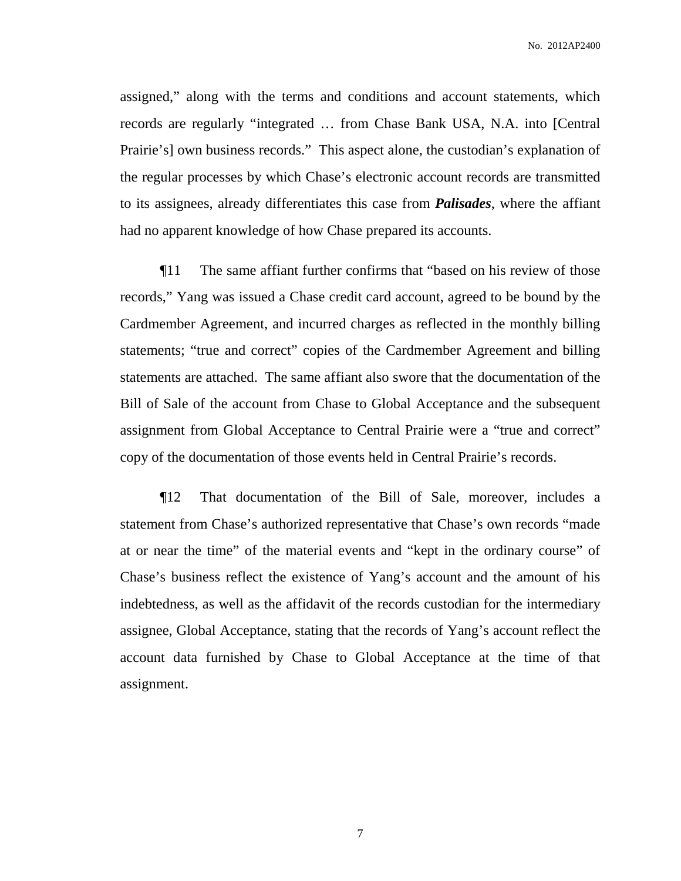assigned," along with the terms and conditions and account statements, which records are regularly "integrated … from Chase Bank USA, N.A. into [Central Prairie's] own business records." This aspect alone, the custodian's explanation of the regular processes by which Chase's electronic account records are transmitted to its assignees, already differentiates this case from *Palisades*, where the affiant had no apparent knowledge of how Chase prepared its accounts.

¶11 The same affiant further confirms that "based on his review of those records," Yang was issued a Chase credit card account, agreed to be bound by the Cardmember Agreement, and incurred charges as reflected in the monthly billing statements; "true and correct" copies of the Cardmember Agreement and billing statements are attached. The same affiant also swore that the documentation of the Bill of Sale of the account from Chase to Global Acceptance and the subsequent assignment from Global Acceptance to Central Prairie were a "true and correct" copy of the documentation of those events held in Central Prairie's records.

¶12 That documentation of the Bill of Sale, moreover, includes a statement from Chase's authorized representative that Chase's own records "made at or near the time" of the material events and "kept in the ordinary course" of Chase's business reflect the existence of Yang's account and the amount of his indebtedness, as well as the affidavit of the records custodian for the intermediary assignee, Global Acceptance, stating that the records of Yang's account reflect the account data furnished by Chase to Global Acceptance at the time of that assignment.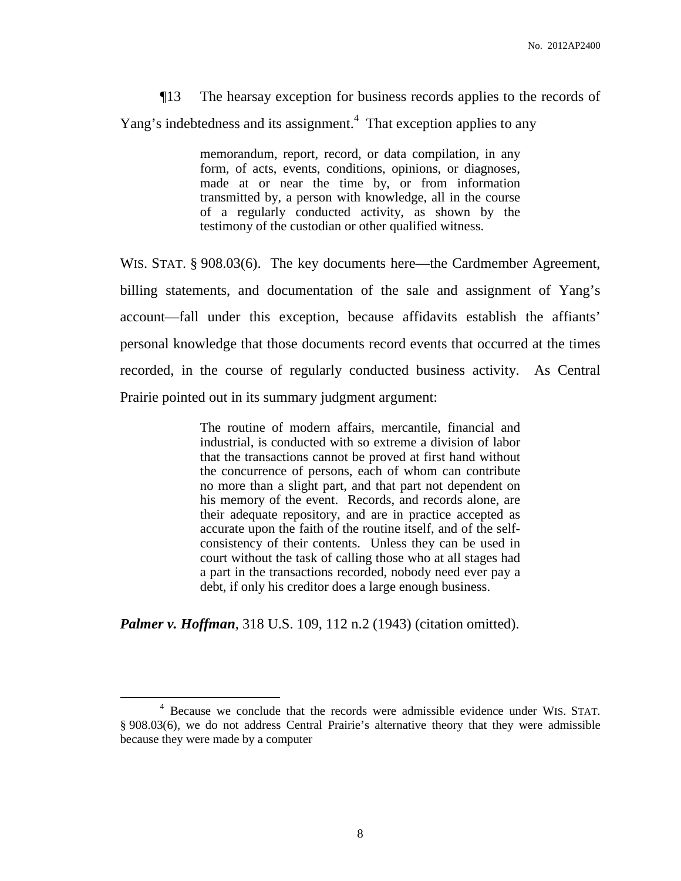¶13 The hearsay exception for business records applies to the records of Yang's indebtedness and its assignment.<sup>4</sup> That exception applies to any

> memorandum, report, record, or data compilation, in any form, of acts, events, conditions, opinions, or diagnoses, made at or near the time by, or from information transmitted by, a person with knowledge, all in the course of a regularly conducted activity, as shown by the testimony of the custodian or other qualified witness.

WIS. STAT. § 908.03(6). The key documents here—the Cardmember Agreement, billing statements, and documentation of the sale and assignment of Yang's account—fall under this exception, because affidavits establish the affiants' personal knowledge that those documents record events that occurred at the times recorded, in the course of regularly conducted business activity. As Central Prairie pointed out in its summary judgment argument:

> The routine of modern affairs, mercantile, financial and industrial, is conducted with so extreme a division of labor that the transactions cannot be proved at first hand without the concurrence of persons, each of whom can contribute no more than a slight part, and that part not dependent on his memory of the event. Records, and records alone, are their adequate repository, and are in practice accepted as accurate upon the faith of the routine itself, and of the selfconsistency of their contents. Unless they can be used in court without the task of calling those who at all stages had a part in the transactions recorded, nobody need ever pay a debt, if only his creditor does a large enough business.

*Palmer v. Hoffman*, 318 U.S. 109, 112 n.2 (1943) (citation omitted).

<sup>4</sup> Because we conclude that the records were admissible evidence under WIS. STAT. § 908.03(6), we do not address Central Prairie's alternative theory that they were admissible because they were made by a computer